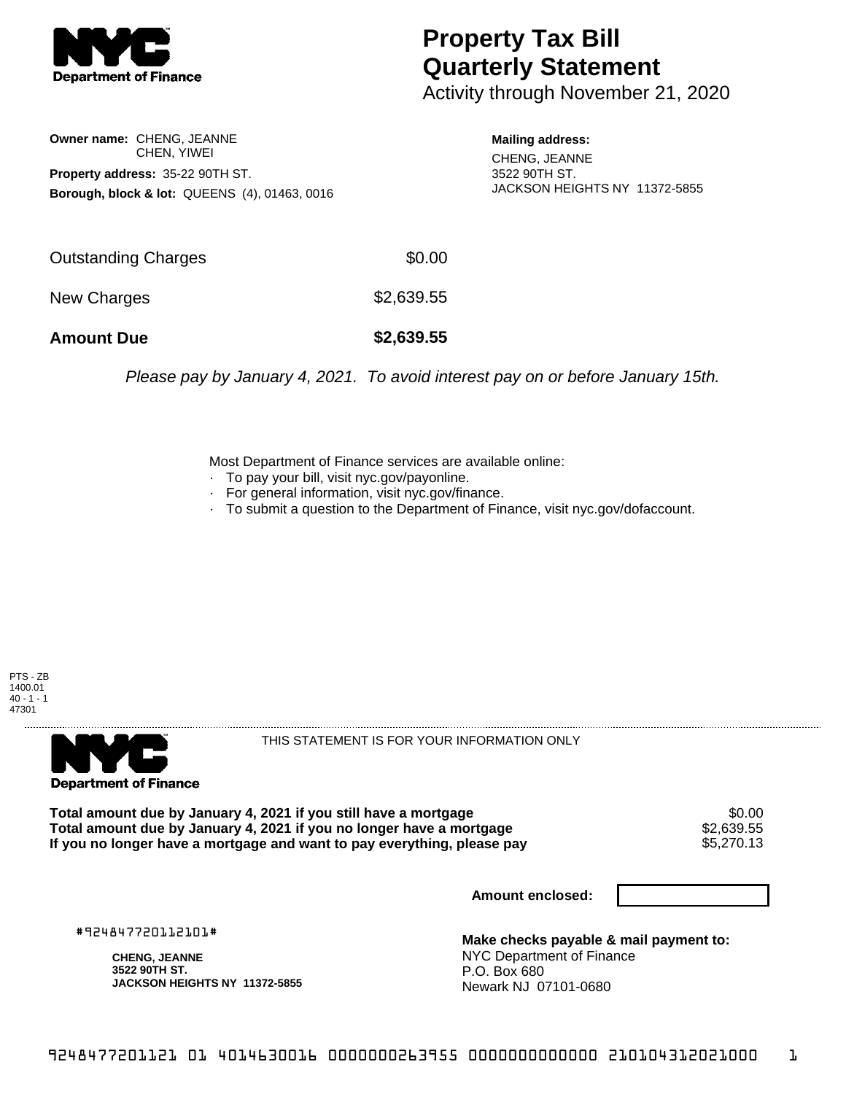

## **Property Tax Bill Quarterly Statement**

Activity through November 21, 2020

**Owner name:** CHENG, JEANNE CHEN, YIWEI **Property address:** 35-22 90TH ST. **Borough, block & lot:** QUEENS (4), 01463, 0016 **Mailing address:**

CHENG, JEANNE 3522 90TH ST. JACKSON HEIGHTS NY 11372-5855

| <b>Amount Due</b>   | \$2,639.55 |
|---------------------|------------|
| New Charges         | \$2,639.55 |
| Outstanding Charges | \$0.00     |

Please pay by January 4, 2021. To avoid interest pay on or before January 15th.

Most Department of Finance services are available online:

- · To pay your bill, visit nyc.gov/payonline.
- For general information, visit nyc.gov/finance.
- · To submit a question to the Department of Finance, visit nyc.gov/dofaccount.





THIS STATEMENT IS FOR YOUR INFORMATION ONLY

Total amount due by January 4, 2021 if you still have a mortgage \$0.00<br>Total amount due by January 4, 2021 if you no longer have a mortgage \$2.639.55 **Total amount due by January 4, 2021 if you no longer have a mortgage**  $$2,639.55$ **<br>If you no longer have a mortgage and want to pay everything, please pay**  $$5,270.13$ If you no longer have a mortgage and want to pay everything, please pay

**Amount enclosed:**

#924847720112101#

**CHENG, JEANNE 3522 90TH ST. JACKSON HEIGHTS NY 11372-5855**

**Make checks payable & mail payment to:** NYC Department of Finance P.O. Box 680 Newark NJ 07101-0680